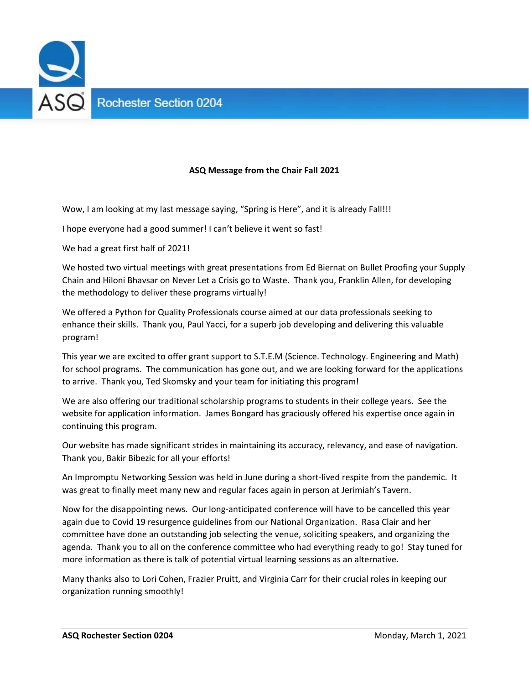

## **ASQ Message from the Chair Fall 2021**

Wow, I am looking at my last message saying, "Spring is Here", and it is already Fall!!!

I hope everyone had a good summer! I can't believe it went so fast!

We had a great first half of 2021!

We hosted two virtual meetings with great presentations from Ed Biernat on Bullet Proofing your Supply Chain and Hiloni Bhavsar on Never Let a Crisis go to Waste. Thank you, Franklin Allen, for developing the methodology to deliver these programs virtually!

We offered a Python for Quality Professionals course aimed at our data professionals seeking to enhance their skills. Thank you, Paul Yacci, for a superb job developing and delivering this valuable program!

This year we are excited to offer grant support to S.T.E.M (Science. Technology. Engineering and Math) for school programs. The communication has gone out, and we are looking forward for the applications to arrive. Thank you, Ted Skomsky and your team for initiating this program!

We are also offering our traditional scholarship programs to students in their college years. See the website for application information. James Bongard has graciously offered his expertise once again in continuing this program.

Our website has made significant strides in maintaining its accuracy, relevancy, and ease of navigation. Thank you, Bakir Bibezic for all your efforts!

An Impromptu Networking Session was held in June during a short‐lived respite from the pandemic. It was great to finally meet many new and regular faces again in person at Jerimiah's Tavern.

Now for the disappointing news. Our long‐anticipated conference will have to be cancelled this year again due to Covid 19 resurgence guidelines from our National Organization. Rasa Clair and her committee have done an outstanding job selecting the venue, soliciting speakers, and organizing the agenda. Thank you to all on the conference committee who had everything ready to go! Stay tuned for more information as there is talk of potential virtual learning sessions as an alternative.

Many thanks also to Lori Cohen, Frazier Pruitt, and Virginia Carr for their crucial roles in keeping our organization running smoothly!